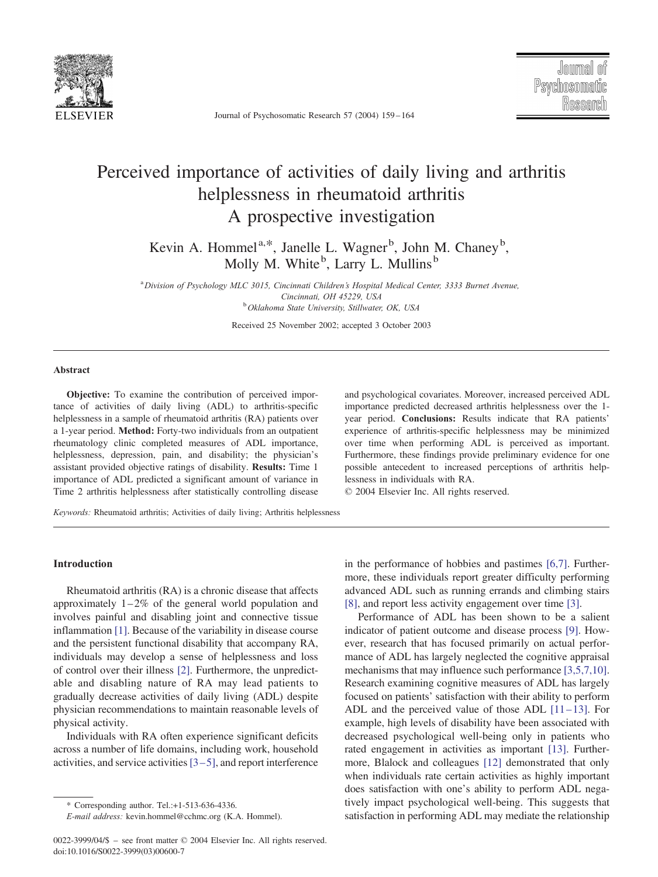

Journal of Psychosomatic Research 57 (2004) 159 – 164

# Perceived importance of activities of daily living and arthritis helplessness in rheumatoid arthritis A prospective investigation

Kevin A. Hommel<sup>a,\*</sup>, Janelle L. Wagner<sup>b</sup>, John M. Chaney<sup>b</sup>, Molly M. White<sup>b</sup>, Larry L. Mullins<sup>b</sup>

<sup>a</sup> Division of Psychology MLC 3015, Cincinnati Children's Hospital Medical Center, 3333 Burnet Avenue, Cincinnati, OH 45229, USA<br><sup>b</sup> Oklahoma State University, Stillwater, OK, USA

Received 25 November 2002; accepted 3 October 2003

### Abstract

Objective: To examine the contribution of perceived importance of activities of daily living (ADL) to arthritis-specific helplessness in a sample of rheumatoid arthritis (RA) patients over a 1-year period. Method: Forty-two individuals from an outpatient rheumatology clinic completed measures of ADL importance, helplessness, depression, pain, and disability; the physician's assistant provided objective ratings of disability. Results: Time 1 importance of ADL predicted a significant amount of variance in Time 2 arthritis helplessness after statistically controlling disease and psychological covariates. Moreover, increased perceived ADL importance predicted decreased arthritis helplessness over the 1 year period. Conclusions: Results indicate that RA patients' experience of arthritis-specific helplessness may be minimized over time when performing ADL is perceived as important. Furthermore, these findings provide preliminary evidence for one possible antecedent to increased perceptions of arthritis helplessness in individuals with RA.

 $© 2004 Elsevier Inc. All rights reserved.$ 

Keywords: Rheumatoid arthritis; Activities of daily living; Arthritis helplessness

### Introduction

Rheumatoid arthritis (RA) is a chronic disease that affects approximately  $1-2\%$  of the general world population and involves painful and disabling joint and connective tissue inflammation [\[1\].](#page--1-0) Because of the variability in disease course and the persistent functional disability that accompany RA, individuals may develop a sense of helplessness and loss of control over their illness [\[2\].](#page--1-0) Furthermore, the unpredictable and disabling nature of RA may lead patients to gradually decrease activities of daily living (ADL) despite physician recommendations to maintain reasonable levels of physical activity.

Individuals with RA often experience significant deficits across a number of life domains, including work, household activities, and service activities  $[3 - 5]$ , and report interference in the performance of hobbies and pastimes [\[6,7\].](#page--1-0) Furthermore, these individuals report greater difficulty performing advanced ADL such as running errands and climbing stairs [\[8\],](#page--1-0) and report less activity engagement over time [\[3\].](#page--1-0) Performance of ADL has been shown to be a salient

indicator of patient outcome and disease process [\[9\].](#page--1-0) However, research that has focused primarily on actual performance of ADL has largely neglected the cognitive appraisal mechanisms that may influence such performance [\[3,5,7,10\].](#page--1-0) Research examining cognitive measures of ADL has largely focused on patients' satisfaction with their ability to perform ADL and the perceived value of those ADL  $[11-13]$ . For example, high levels of disability have been associated with decreased psychological well-being only in patients who rated engagement in activities as important [\[13\].](#page--1-0) Furthermore, Blalock and colleagues [\[12\]](#page--1-0) demonstrated that only when individuals rate certain activities as highly important does satisfaction with one's ability to perform ADL negatively impact psychological well-being. This suggests that satisfaction in performing ADL may mediate the relationship

<sup>\*</sup> Corresponding author. Tel.:+1-513-636-4336.

E-mail address: kevin.hommel@cchmc.org (K.A. Hommel).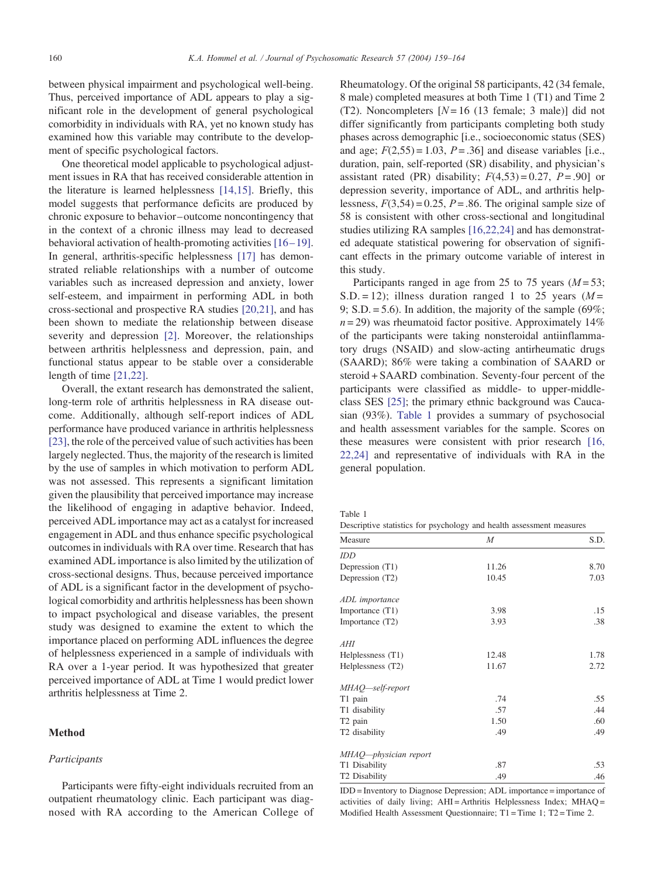between physical impairment and psychological well-being. Thus, perceived importance of ADL appears to play a significant role in the development of general psychological comorbidity in individuals with RA, yet no known study has examined how this variable may contribute to the development of specific psychological factors.

One theoretical model applicable to psychological adjustment issues in RA that has received considerable attention in the literature is learned helplessness [\[14,15\].](#page--1-0) Briefly, this model suggests that performance deficits are produced by chronic exposure to behavior –outcome noncontingency that in the context of a chronic illness may lead to decreased behavioral activation of health-promoting activities [16-19]. In general, arthritis-specific helplessness [\[17\]](#page--1-0) has demonstrated reliable relationships with a number of outcome variables such as increased depression and anxiety, lower self-esteem, and impairment in performing ADL in both cross-sectional and prospective RA studies [\[20,21\],](#page--1-0) and has been shown to mediate the relationship between disease severity and depression [\[2\].](#page--1-0) Moreover, the relationships between arthritis helplessness and depression, pain, and functional status appear to be stable over a considerable length of time [\[21,22\].](#page--1-0)

Overall, the extant research has demonstrated the salient, long-term role of arthritis helplessness in RA disease outcome. Additionally, although self-report indices of ADL performance have produced variance in arthritis helplessness [\[23\],](#page--1-0) the role of the perceived value of such activities has been largely neglected. Thus, the majority of the research is limited by the use of samples in which motivation to perform ADL was not assessed. This represents a significant limitation given the plausibility that perceived importance may increase the likelihood of engaging in adaptive behavior. Indeed, perceived ADL importance may act as a catalyst for increased engagement in ADL and thus enhance specific psychological outcomes in individuals with RA over time. Research that has examined ADL importance is also limited by the utilization of cross-sectional designs. Thus, because perceived importance of ADL is a significant factor in the development of psychological comorbidity and arthritis helplessness has been shown to impact psychological and disease variables, the present study was designed to examine the extent to which the importance placed on performing ADL influences the degree of helplessness experienced in a sample of individuals with RA over a 1-year period. It was hypothesized that greater perceived importance of ADL at Time 1 would predict lower arthritis helplessness at Time 2.

#### Method

## Participants

Participants were fifty-eight individuals recruited from an outpatient rheumatology clinic. Each participant was diagnosed with RA according to the American College of Rheumatology. Of the original 58 participants, 42 (34 female, 8 male) completed measures at both Time 1 (T1) and Time 2 (T2). Noncompleters  $[N = 16$  (13 female; 3 male)] did not differ significantly from participants completing both study phases across demographic [i.e., socioeconomic status (SES) and age;  $F(2,55) = 1.03$ ,  $P = .36$ ] and disease variables [i.e., duration, pain, self-reported (SR) disability, and physician's assistant rated (PR) disability;  $F(4,53) = 0.27$ ,  $P = .90$ ] or depression severity, importance of ADL, and arthritis helplessness,  $F(3,54) = 0.25$ ,  $P = .86$ . The original sample size of 58 is consistent with other cross-sectional and longitudinal studies utilizing RA samples [\[16,22,24\]](#page--1-0) and has demonstrated adequate statistical powering for observation of significant effects in the primary outcome variable of interest in this study.

Participants ranged in age from 25 to 75 years  $(M = 53)$ ; S.D. = 12); illness duration ranged 1 to 25 years  $(M =$ 9; S.D. = 5.6). In addition, the majority of the sample  $(69\%;$  $n = 29$ ) was rheumatoid factor positive. Approximately 14% of the participants were taking nonsteroidal antiinflammatory drugs (NSAID) and slow-acting antirheumatic drugs (SAARD); 86% were taking a combination of SAARD or steroid + SAARD combination. Seventy-four percent of the participants were classified as middle- to upper-middleclass SES [\[25\];](#page--1-0) the primary ethnic background was Caucasian (93%). Table 1 provides a summary of psychosocial and health assessment variables for the sample. Scores on these measures were consistent with prior research [\[16,](#page--1-0) 22,24] and representative of individuals with RA in the general population.

| Table 1 |  |                                                                      |  |  |
|---------|--|----------------------------------------------------------------------|--|--|
|         |  | Descriptive statistics for psychology and health assessment measures |  |  |

| Measure                   | $\boldsymbol{M}$ | S.D. |
|---------------------------|------------------|------|
| IDD                       |                  |      |
| Depression (T1)           | 11.26            | 8.70 |
| Depression (T2)           | 10.45            | 7.03 |
| ADL importance            |                  |      |
| Importance (T1)           | 3.98             | .15  |
| Importance (T2)           | 3.93             | .38  |
| AHI                       |                  |      |
| Helplessness (T1)         | 12.48            | 1.78 |
| Helplessness (T2)         | 11.67            | 2.72 |
| MHAQ—self-report          |                  |      |
| T1 pain                   | .74              | .55  |
| T1 disability             | .57              | .44  |
| T <sub>2</sub> pain       | 1.50             | .60  |
| T2 disability             | .49              | .49  |
| MHAQ—physician report     |                  |      |
| T1 Disability             | .87              | .53  |
| T <sub>2</sub> Disability | .49              | .46  |

IDD = Inventory to Diagnose Depression; ADL importance = importance of activities of daily living; AHI = Arthritis Helplessness Index; MHAQ = Modified Health Assessment Questionnaire; T1 = Time 1; T2 = Time 2.